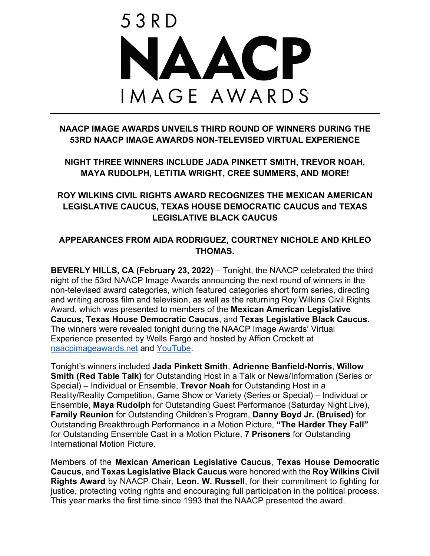

## **NAACP IMAGE AWARDS UNVEILS THIRD ROUND OF WINNERS DURING THE 53RD NAACP IMAGE AWARDS NON-TELEVISED VIRTUAL EXPERIENCE**

**NIGHT THREE WINNERS INCLUDE JADA PINKETT SMITH, TREVOR NOAH, MAYA RUDOLPH, LETITIA WRIGHT, CREE SUMMERS, AND MORE!**

# **ROY WILKINS CIVIL RIGHTS AWARD RECOGNIZES THE MEXICAN AMERICAN LEGISLATIVE CAUCUS, TEXAS HOUSE DEMOCRATIC CAUCUS and TEXAS LEGISLATIVE BLACK CAUCUS**

## **APPEARANCES FROM AIDA RODRIGUEZ, COURTNEY NICHOLE AND KHLEO THOMAS.**

**BEVERLY HILLS, CA (February 23, 2022)** – Tonight, the NAACP celebrated the third night of the 53rd NAACP Image Awards announcing the next round of winners in the non-televised award categories, which featured categories short form series, directing and writing across film and television, as well as the returning Roy Wilkins Civil Rights Award, which was presented to members of the **Mexican American Legislative Caucus**, **Texas House Democratic Caucus**, and **Texas Legislative Black Caucus**. The winners were revealed tonight during the NAACP Image Awards' Virtual Experience presented by Wells Fargo and hosted by Affion Crockett at naacpimageawards.net and YouTube.

Tonight's winners included **Jada Pinkett Smith**, **Adrienne Banfield-Norris**, **Willow Smith (Red Table Talk)** for Outstanding Host in a Talk or News/Information (Series or Special) – Individual or Ensemble, **Trevor Noah** for Outstanding Host in a Reality/Reality Competition, Game Show or Variety (Series or Special) – Individual or Ensemble, **Maya Rudolph** for Outstanding Guest Performance (Saturday Night Live), **Family Reunion** for Outstanding Children's Program, **Danny Boyd Jr. (Bruised)** for Outstanding Breakthrough Performance in a Motion Picture, **"The Harder They Fall"** for Outstanding Ensemble Cast in a Motion Picture, **7 Prisoners** for Outstanding International Motion Picture.

Members of the **Mexican American Legislative Caucus**, **Texas House Democratic Caucus**, and **Texas Legislative Black Caucus** were honored with the **Roy Wilkins Civil Rights Award** by NAACP Chair, **Leon. W. Russell**, for their commitment to fighting for justice, protecting voting rights and encouraging full participation in the political process. This year marks the first time since 1993 that the NAACP presented the award.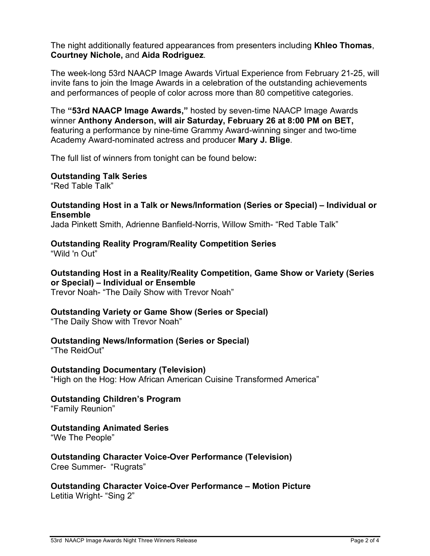The night additionally featured appearances from presenters including **Khleo Thomas**, **Courtney Nichole,** and **Aida Rodriguez**.

The week-long 53rd NAACP Image Awards Virtual Experience from February 21-25, will invite fans to join the Image Awards in a celebration of the outstanding achievements and performances of people of color across more than 80 competitive categories.

The **"53rd NAACP Image Awards,"** hosted by seven-time NAACP Image Awards winner **Anthony Anderson, will air Saturday, February 26 at 8:00 PM on BET,**  featuring a performance by nine-time Grammy Award-winning singer and two-time Academy Award-nominated actress and producer **Mary J. Blige**.

The full list of winners from tonight can be found below**:**

**Outstanding Talk Series** "Red Table Talk"

#### **Outstanding Host in a Talk or News/Information (Series or Special) – Individual or Ensemble**

Jada Pinkett Smith, Adrienne Banfield-Norris, Willow Smith- "Red Table Talk"

# **Outstanding Reality Program/Reality Competition Series**

"Wild 'n Out"

# **Outstanding Host in a Reality/Reality Competition, Game Show or Variety (Series or Special) – Individual or Ensemble**

Trevor Noah- "The Daily Show with Trevor Noah"

#### **Outstanding Variety or Game Show (Series or Special)**

"The Daily Show with Trevor Noah"

#### **Outstanding News/Information (Series or Special)**

"The ReidOut"

# **Outstanding Documentary (Television)**

"High on the Hog: How African American Cuisine Transformed America"

## **Outstanding Children's Program**

"Family Reunion"

#### **Outstanding Animated Series**

"We The People"

#### **Outstanding Character Voice-Over Performance (Television)** Cree Summer- "Rugrats"

**Outstanding Character Voice-Over Performance – Motion Picture** Letitia Wright- "Sing 2"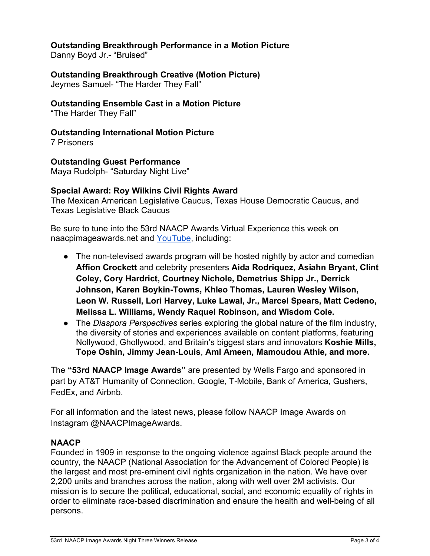### **Outstanding Breakthrough Performance in a Motion Picture**

Danny Boyd Jr.- "Bruised"

### **Outstanding Breakthrough Creative (Motion Picture)**

Jeymes Samuel- "The Harder They Fall"

## **Outstanding Ensemble Cast in a Motion Picture**

"The Harder They Fall"

# **Outstanding International Motion Picture**

7 Prisoners

# **Outstanding Guest Performance**

Maya Rudolph- "Saturday Night Live"

## **Special Award: Roy Wilkins Civil Rights Award**

The Mexican American Legislative Caucus, Texas House Democratic Caucus, and Texas Legislative Black Caucus

Be sure to tune into the 53rd NAACP Awards Virtual Experience this week on naacpimageawards.net and YouTube, including:

- The non-televised awards program will be hosted nightly by actor and comedian **Affion Crockett** and celebrity presenters **Aida Rodriquez, Asiahn Bryant, Clint Coley, Cory Hardrict, Courtney Nichole, Demetrius Shipp Jr., Derrick Johnson, Karen Boykin-Towns, Khleo Thomas, Lauren Wesley Wilson, Leon W. Russell, Lori Harvey, Luke Lawal, Jr., Marcel Spears, Matt Cedeno, Melissa L. Williams, Wendy Raquel Robinson, and Wisdom Cole.**
- The *Diaspora Perspectives* series exploring the global nature of the film industry, the diversity of stories and experiences available on content platforms, featuring Nollywood, Ghollywood, and Britain's biggest stars and innovators **Koshie Mills, Tope Oshin, Jimmy Jean-Louis**, **Aml Ameen, Mamoudou Athie, and more.**

The **"53rd NAACP Image Awards"** are presented by Wells Fargo and sponsored in part by AT&T Humanity of Connection, Google, T-Mobile, Bank of America, Gushers, FedEx, and Airbnb.

For all information and the latest news, please follow NAACP Image Awards on Instagram @NAACPImageAwards.

### **NAACP**

Founded in 1909 in response to the ongoing violence against Black people around the country, the NAACP (National Association for the Advancement of Colored People) is the largest and most pre-eminent civil rights organization in the nation. We have over 2,200 units and branches across the nation, along with well over 2M activists. Our mission is to secure the political, educational, social, and economic equality of rights in order to eliminate race-based discrimination and ensure the health and well-being of all persons.